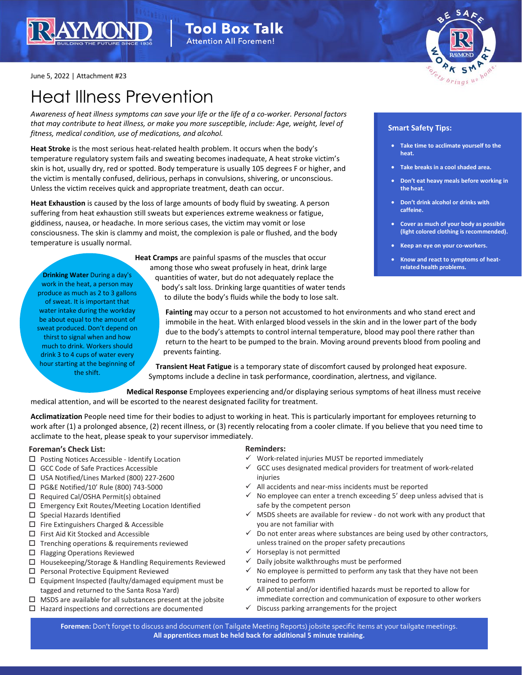



June 5, 2022 | Attachment #23

# Heat Illness Prevention

*Awareness of heat illness symptoms can save your life or the life of a co-worker. Personal factors that may contribute to heat illness, or make you more susceptible, include: Age, weight, level of fitness, medical condition, use of medications, and alcohol.*

**Heat Stroke** is the most serious heat-related health problem. It occurs when the body's temperature regulatory system fails and sweating becomes inadequate, A heat stroke victim's skin is hot, usually dry, red or spotted. Body temperature is usually 105 degrees F or higher, and the victim is mentally confused, delirious, perhaps in convulsions, shivering, or unconscious. Unless the victim receives quick and appropriate treatment, death can occur.

**Heat Exhaustion** is caused by the loss of large amounts of body fluid by sweating. A person suffering from heat exhaustion still sweats but experiences extreme weakness or fatigue, giddiness, nausea, or headache. In more serious cases, the victim may vomit or lose consciousness. The skin is clammy and moist, the complexion is pale or flushed, and the body temperature is usually normal.

**Heat Cramps** are painful spasms of the muscles that occur among those who sweat profusely in heat, drink large quantities of water, but do not adequately replace the body's salt loss. Drinking large quantities of water tends to dilute the body's fluids while the body to lose salt. produce as much as 2 to 3 gallons

## **Smart Safety Tips:**

- **Take time to acclimate yourself to the heat.**
- **Take breaks in a cool shaded area.**
- **Don't eat heavy meals before working in the heat.**
- **Don't drink alcohol or drinks with caffeine.**
- **Cover as much of your body as possible (light colored clothing is recommended).**
- **Keep an eye on your co-workers.**
- **Know and react to symptoms of heatrelated health problems.**

**Fainting** may occur to a person not accustomed to hot environments and who stand erect and immobile in the heat. With enlarged blood vessels in the skin and in the lower part of the body due to the body's attempts to control internal temperature, blood may pool there rather than return to the heart to be pumped to the brain. Moving around prevents blood from pooling and prevents fainting.

**Transient Heat Fatigue** is a temporary state of discomfort caused by prolonged heat exposure. Symptoms include a decline in task performance, coordination, alertness, and vigilance.

**Medical Response** Employees experiencing and/or displaying serious symptoms of heat illness must receive medical attention, and will be escorted to the nearest designated facility for treatment.

**Acclimatization** People need time for their bodies to adjust to working in heat. This is particularly important for employees returning to work after (1) a prolonged absence, (2) recent illness, or (3) recently relocating from a cooler climate. If you believe that you need time to acclimate to the heat, please speak to your supervisor immediately.

### **Foreman's Check List:**

- □ Posting Notices Accessible Identify Location
- □ GCC Code of Safe Practices Accessible

**Drinking Water** During a day's work in the heat, a person may

of sweat. It is important that water intake during the workday be about equal to the amount of sweat produced. Don't depend on thirst to signal when and how much to drink. Workers should drink 3 to 4 cups of water every hour starting at the beginning of the shift.

- USA Notified/Lines Marked (800) 227-2600
- □ PG&E Notified/10' Rule (800) 743-5000
- $\Box$  Required Cal/OSHA Permit(s) obtained
- Emergency Exit Routes/Meeting Location Identified
- $\square$  Special Hazards Identified
- □ Fire Extinguishers Charged & Accessible
- $\Box$  First Aid Kit Stocked and Accessible
- $\square$  Trenching operations & requirements reviewed
- □ Flagging Operations Reviewed
- $\Box$  Housekeeping/Storage & Handling Requirements Reviewed
- $\square$  Personal Protective Equipment Reviewed
- $\square$  Equipment Inspected (faulty/damaged equipment must be tagged and returned to the Santa Rosa Yard)
- $\Box$  MSDS are available for all substances present at the jobsite
- $\Box$  Hazard inspections and corrections are documented

### **Reminders:**

- $\checkmark$  Work-related injuries MUST be reported immediately
- $\checkmark$  GCC uses designated medical providers for treatment of work-related injuries
- All accidents and near-miss incidents must be reported
- $\checkmark$  No employee can enter a trench exceeding 5' deep unless advised that is safe by the competent person
- $\checkmark$  MSDS sheets are available for review do not work with any product that you are not familiar with
- For discussion and document with the discussion of the discussion of the discussion of the contractors,<br>  $\checkmark$  Do not enter areas where substances are being used by other contractors, **All apprentices must be held back for additional 5 minute training.** unless trained on the proper safety precautions
	- $\checkmark$  Horseplay is not permitted
	- $\checkmark$  Daily jobsite walkthroughs must be performed
	- $\checkmark$  No employee is permitted to perform any task that they have not been trained to perform
	- All potential and/or identified hazards must be reported to allow for immediate correction and communication of exposure to other workers
	- $\checkmark$  Discuss parking arrangements for the project

**Foremen:** Don't forget to discuss and document (on Tailgate Meeting Reports) jobsite specific items at your tailgate meetings. **All apprentices must be held back for additional 5 minute training.**